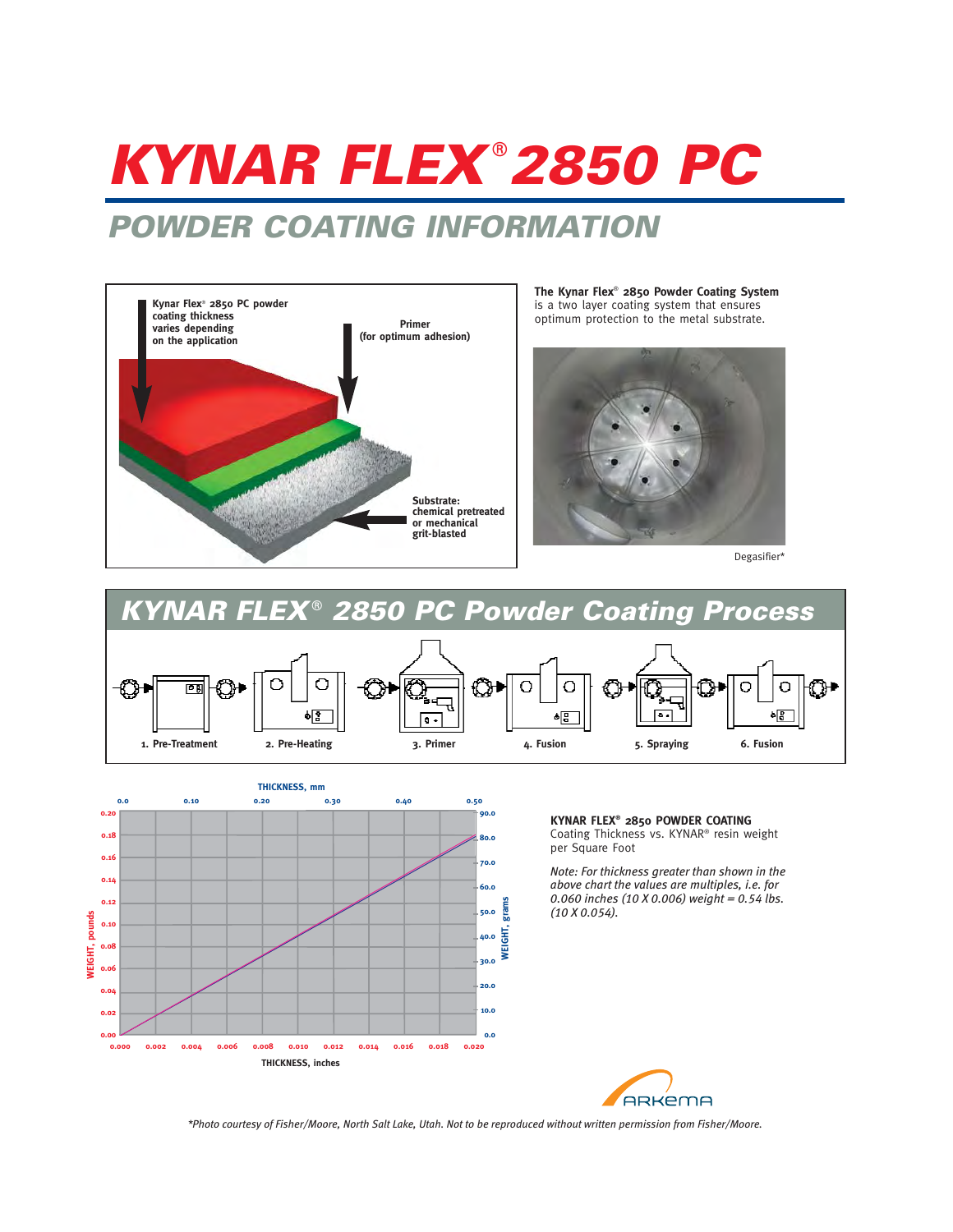# **KYNAR FLEX**® **2850 PC**

## **POWDER COATING INFORMATION**



**The Kynar Flex**® **2850 Powder Coating System** is a two layer coating system that ensures optimum protection to the metal substrate.



Degasifier\*





**KYNAR FLEX® 2850 POWDER COATING**  Coating Thickness vs. KYNAR® resin weight per Square Foot

*Note: For thickness greater than shown in the above chart the values are multiples, i.e. for 0.060 inches (10 X 0.006) weight = 0.54 lbs. (10 X 0.054).*



*\*Photo courtesy of Fisher/Moore, North Salt Lake, Utah. Not to be reproduced without written permission from Fisher/Moore.*